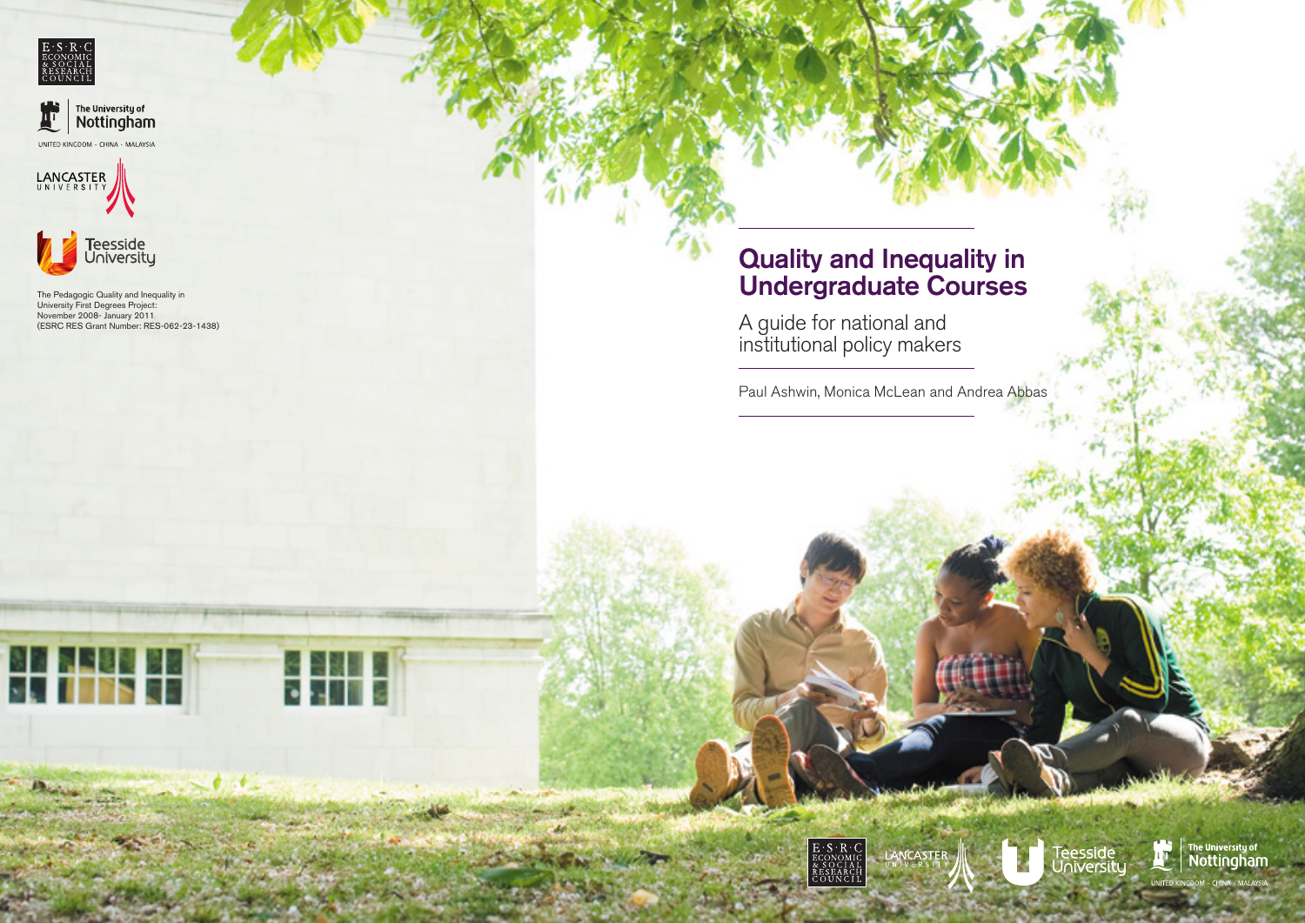









**SE FRI** 

# Quality and Inequality in Undergraduate Courses

A guide for national and institutional policy makers

Paul Ashwin, Monica McLean and Andrea Abbas









The Pedagogic Quality and Inequality in University First Degrees Project: November 2008- January 2011 (ESRC RES Grant Number: RES-062-23-1438)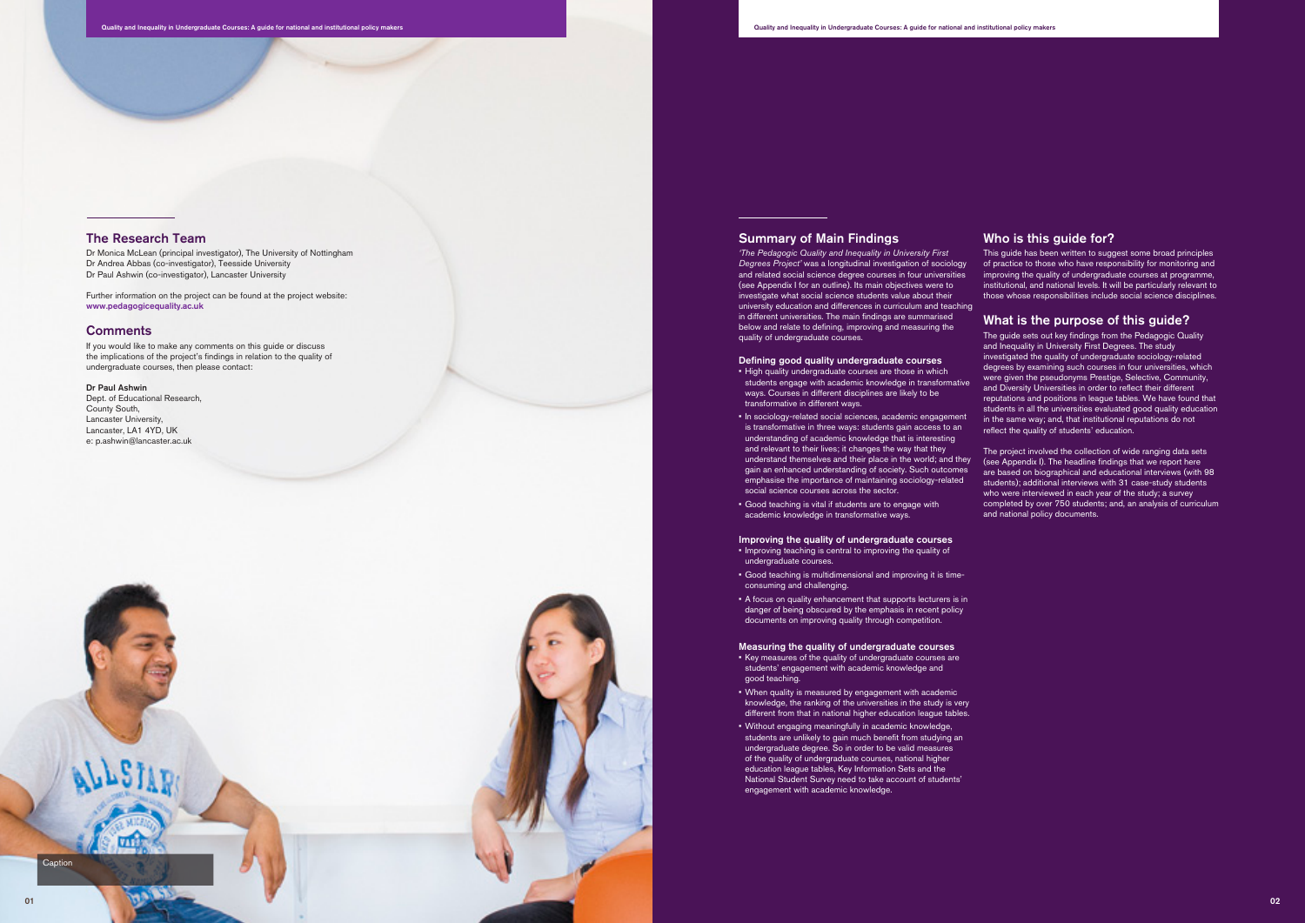## The Research Team

Dr Monica McLean (principal investigator), The University of Nottingham Dr Andrea Abbas (co-investigator), Teesside University Dr Paul Ashwin (co-investigator), Lancaster University

Further information on the project can be found at the project website: www.pedagogicequality.ac.uk

#### **Comments**

Dept. of Educational Research, County South, Lancaster University, Lancaster, LA1 4YD, UK e: p.ashwin@lancaster.ac.uk

If you would like to make any comments on this guide or discuss the implications of the project's findings in relation to the quality of undergraduate courses, then please contact:

#### Dr Paul Ashwin

### Summary of Main Findings

- High quality undergraduate courses are those in which students engage with academic knowledge in transformative ways. Courses in different disciplines are likely to be transformative in different ways.
- • In sociology-related social sciences, academic engagement is transformative in three ways: students gain access to an understanding of academic knowledge that is interesting and relevant to their lives; it changes the way that they understand themselves and their place in the world; and they gain an enhanced understanding of society. Such outcomes emphasise the importance of maintaining sociology-related social science courses across the sector.
- Good teaching is vital if students are to engage with academic knowledge in transformative ways.

*'The Pedagogic Quality and Inequality in University First Degrees Project'* was a longitudinal investigation of sociology and related social science degree courses in four universities (see Appendix I for an outline). Its main objectives were to investigate what social science students value about their university education and differences in curriculum and teaching in different universities. The main findings are summarised below and relate to defining, improving and measuring the quality of undergraduate courses.

- Improving teaching is central to improving the quality of undergraduate courses.
- • Good teaching is multidimensional and improving it is timeconsuming and challenging.
- A focus on quality enhancement that supports lecturers is in danger of being obscured by the emphasis in recent policy documents on improving quality through competition.

#### Defining good quality undergraduate courses

### Improving the quality of undergraduate courses

#### Measuring the quality of undergraduate courses

- • Key measures of the quality of undergraduate courses are students' engagement with academic knowledge and good teaching.
- When quality is measured by engagement with academic knowledge, the ranking of the universities in the study is very different from that in national higher education league tables.
- Without engaging meaningfully in academic knowledge. students are unlikely to gain much benefit from studying an undergraduate degree. So in order to be valid measures of the quality of undergraduate courses, national higher education league tables, Key Information Sets and the National Student Survey need to take account of students' engagement with academic knowledge.

## Who is this guide for?

This guide has been written to suggest some broad principles of practice to those who have responsibility for monitoring and improving the quality of undergraduate courses at programme, institutional, and national levels. It will be particularly relevant to those whose responsibilities include social science disciplines.

## What is the purpose of this quide?

The guide sets out key findings from the Pedagogic Quality and Inequality in University First Degrees. The study investigated the quality of undergraduate sociology-related degrees by examining such courses in four universities, which were given the pseudonyms Prestige, Selective, Community, and Diversity Universities in order to reflect their different reputations and positions in league tables. We have found that students in all the universities evaluated good quality education in the same way; and, that institutional reputations do not reflect the quality of students' education.

The project involved the collection of wide ranging data sets (see Appendix I). The headline findings that we report here are based on biographical and educational interviews (with 98 students); additional interviews with 31 case-study students who were interviewed in each year of the study; a survey completed by over 750 students; and, an analysis of curriculum and national policy documents.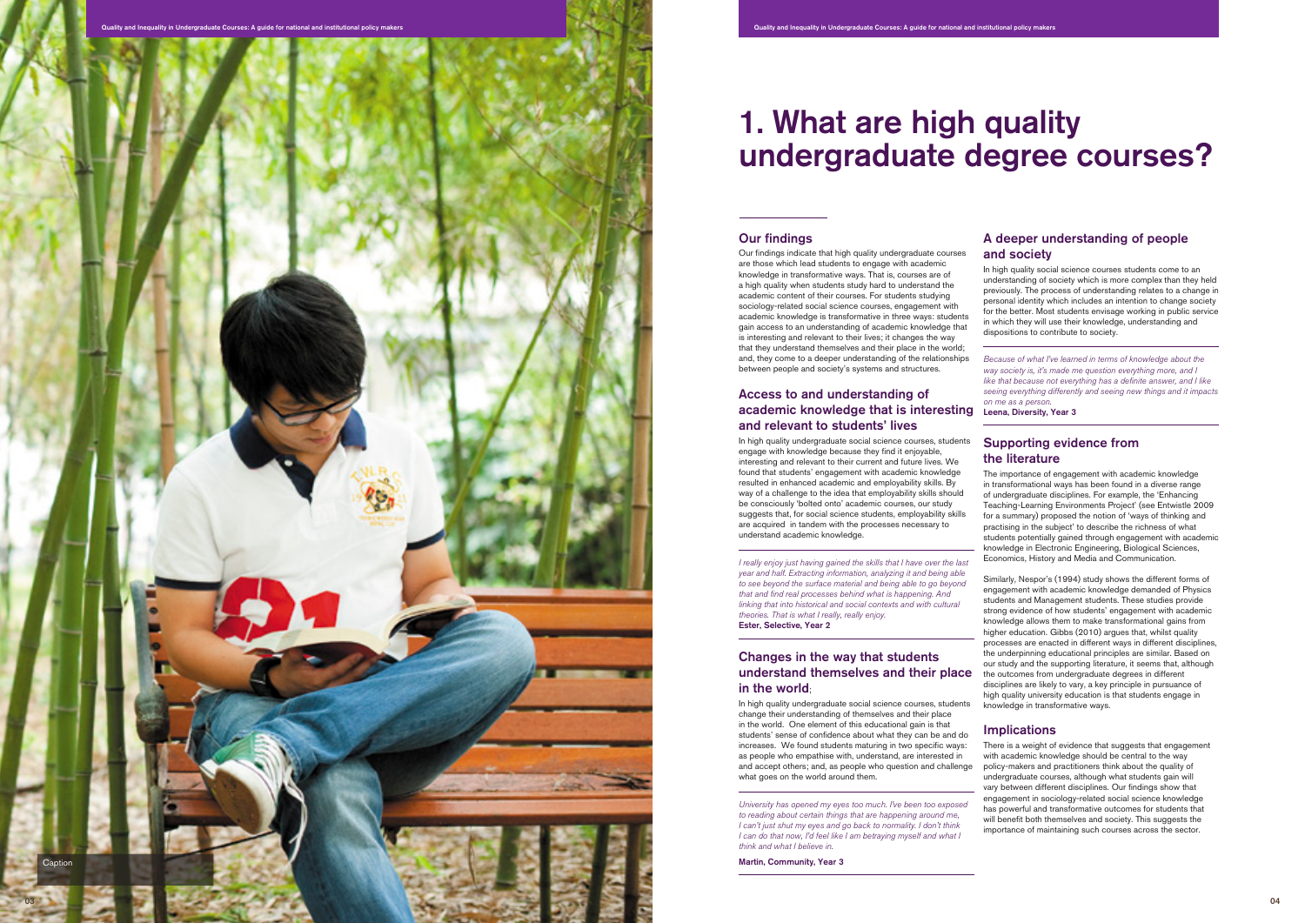# Our findings

Our findings indicate that high quality undergraduate courses are those which lead students to engage with academic knowledge in transformative ways. That is, courses are of a high quality when students study hard to understand the academic content of their courses. For students studying sociology-related social science courses, engagement with academic knowledge is transformative in three ways: students gain access to an understanding of academic knowledge that is interesting and relevant to their lives; it changes the way that they understand themselves and their place in the world; and, they come to a deeper understanding of the relationships between people and society's systems and structures.

# Access to and understanding of academic knowledge that is interesting Leena, Diversity, Year 3 and relevant to students' lives

In high quality undergraduate social science courses, students engage with knowledge because they find it enjoyable, interesting and relevant to their current and future lives. We found that students' engagement with academic knowledge resulted in enhanced academic and employability skills. By way of a challenge to the idea that employability skills should be consciously 'bolted onto' academic courses, our study suggests that, for social science students, employability skills are acquired in tandem with the processes necessary to understand academic knowledge.

*I really enjoy just having gained the skills that I have over the last year and half. Extracting information, analyzing it and being able to see beyond the surface material and being able to go beyond that and find real processes behind what is happening. And linking that into historical and social contexts and with cultural theories. That is what I really, really enjoy.*  Ester, Selective, Year 2

# Changes in the way that students understand themselves and their place in the world ;

In high quality undergraduate social science courses, students change their understanding of themselves and their place in the world. One element of this educational gain is that students' sense of confidence about what they can be and do increases. We found students maturing in two specific ways: as people who empathise with, understand, are interested in and accept others; and, as people who question and challenge what goes on the world around them.

*University has opened my eyes too much. I've been too exposed to reading about certain things that are happening around me, I can't just shut my eyes and go back to normality. I don't think I can do that now, I'd feel like I am betraying myself and what I think and what I believe in.* 

Martin, Community, Year 3

# A deeper understanding of people and society



In high quality social science courses students come to an understanding of society which is more complex than they held previously. The process of understanding relates to a change in personal identity which includes an intention to change society for the better. Most students envisage working in public service in which they will use their knowledge, understanding and dispositions to contribute to society.

*Because of what I've learned in terms of knowledge about the way society is, it's made me question everything more, and I like that because not everything has a definite answer, and I like seeing everything differently and seeing new things and it impacts on me as a person.*

# Supporting evidence from the literature

The importance of engagement with academic knowledge in transformational ways has been found in a diverse range of undergraduate disciplines. For example, the 'Enhancing Teaching-Learning Environments Project' (see Entwistle 2009 for a summary) proposed the notion of 'ways of thinking and practising in the subject' to describe the richness of what students potentially gained through engagement with academic knowledge in Electronic Engineering, Biological Sciences, Economics, History and Media and Communication.

Similarly, Nespor's (1994) study shows the different forms of engagement with academic knowledge demanded of Physics students and Management students. These studies provide strong evidence of how students' engagement with academic knowledge allows them to make transformational gains from higher education. Gibbs (2010) argues that, whilst quality processes are enacted in different ways in different disciplines, the underpinning educational principles are similar. Based on our study and the supporting literature, it seems that, although the outcomes from undergraduate degrees in different disciplines are likely to vary, a key principle in pursuance of high quality university education is that students engage in knowledge in transformative ways.

# **Implications**

There is a weight of evidence that suggests that engagement with academic knowledge should be central to the way policy-makers and practitioners think about the quality of undergraduate courses, although what students gain will vary between different disciplines. Our findings show that engagement in sociology-related social science knowledge has powerful and transformative outcomes for students that will benefit both themselves and society. This suggests the importance of maintaining such courses across the sector.

# 1. What are high quality undergraduate degree courses?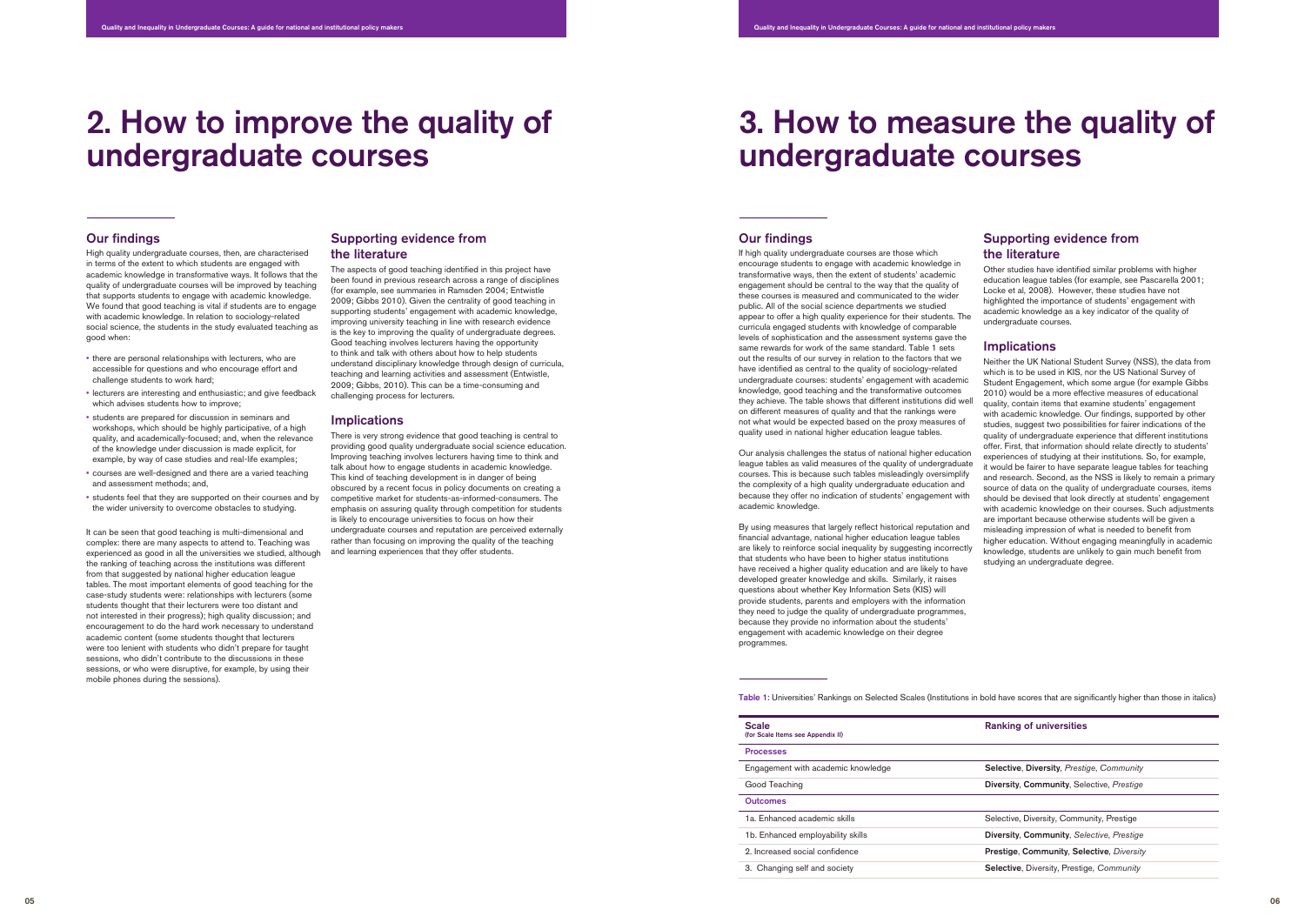#### Our findings

If high quality undergraduate courses are those which encourage students to engage with academic knowledge in transformative ways, then the extent of students' academic engagement should be central to the way that the quality of these courses is measured and communicated to the wider public. All of the social science departments we studied appear to offer a high quality experience for their students. The curricula engaged students with knowledge of comparable levels of sophistication and the assessment systems gave the same rewards for work of the same standard. Table 1 sets out the results of our survey in relation to the factors that we have identified as central to the quality of sociology-related undergraduate courses: students' engagement with academic knowledge, good teaching and the transformative outcomes they achieve. The table shows that different institutions did well on different measures of quality and that the rankings were not what would be expected based on the proxy measures of quality used in national higher education league tables.

Our analysis challenges the status of national higher education league tables as valid measures of the quality of undergraduate courses. This is because such tables misleadingly oversimplify the complexity of a high quality undergraduate education and because they offer no indication of students' engagement with academic knowledge.

By using measures that largely reflect historical reputation and financial advantage, national higher education league tables are likely to reinforce social inequality by suggesting incorrectly that students who have been to higher status institutions have received a higher quality education and are likely to have developed greater knowledge and skills. Similarly, it raises questions about whether Key Information Sets (KIS) will provide students, parents and employers with the information they need to judge the quality of undergraduate programmes, because they provide no information about the students' engagement with academic knowledge on their degree programmes.

# Supporting evidence from the literature

Other studies have identified similar problems with higher education league tables (for example, see Pascarella 2001; Locke et al, 2008). However, these studies have not highlighted the importance of students' engagement with academic knowledge as a key indicator of the quality of undergraduate courses.

## **Implications**

Neither the UK National Student Survey (NSS), the data from which is to be used in KIS, nor the US National Survey of Student Engagement, which some argue (for example Gibbs 2010) would be a more effective measures of educational quality, contain items that examine students' engagement with academic knowledge. Our findings, supported by other studies, suggest two possibilities for fairer indications of the quality of undergraduate experience that different institutions offer. First, that information should relate directly to students' experiences of studying at their institutions. So, for example, it would be fairer to have separate league tables for teaching and research. Second, as the NSS is likely to remain a primary source of data on the quality of undergraduate courses, items should be devised that look directly at students' engagement with academic knowledge on their courses. Such adjustments are important because otherwise students will be given a misleading impression of what is needed to benefit from higher education. Without engaging meaningfully in academic knowledge, students are unlikely to gain much benefit from studying an undergraduate degree.

### Our findings

High quality undergraduate courses, then, are characterised in terms of the extent to which students are engaged with academic knowledge in transformative ways. It follows that the quality of undergraduate courses will be improved by teaching that supports students to engage with academic knowledge. We found that good teaching is vital if students are to engage with academic knowledge. In relation to sociology-related social science, the students in the study evaluated teaching as good when:

- • there are personal relationships with lecturers, who are accessible for questions and who encourage effort and challenge students to work hard;
- lecturers are interesting and enthusiastic; and give feedback which advises students how to improve;
- • students are prepared for discussion in seminars and workshops, which should be highly participative, of a high quality, and academically-focused; and, when the relevance of the knowledge under discussion is made explicit, for example, by way of case studies and real-life examples;
- • courses are well-designed and there are a varied teaching and assessment methods; and,
- • students feel that they are supported on their courses and by the wider university to overcome obstacles to studying.

It can be seen that good teaching is multi-dimensional and complex: there are many aspects to attend to. Teaching was experienced as good in all the universities we studied, although the ranking of teaching across the institutions was different from that suggested by national higher education league tables. The most important elements of good teaching for the case-study students were: relationships with lecturers (some students thought that their lecturers were too distant and not interested in their progress); high quality discussion; and encouragement to do the hard work necessary to understand academic content (some students thought that lecturers were too lenient with students who didn't prepare for taught sessions, who didn't contribute to the discussions in these sessions, or who were disruptive, for example, by using their mobile phones during the sessions).

### Supporting evidence from the literature

The aspects of good teaching identified in this project have been found in previous research across a range of disciplines (for example, see summaries in Ramsden 2004; Entwistle 2009; Gibbs 2010). Given the centrality of good teaching in supporting students' engagement with academic knowledge, improving university teaching in line with research evidence is the key to improving the quality of undergraduate degrees. Good teaching involves lecturers having the opportunity to think and talk with others about how to help students understand disciplinary knowledge through design of curricula, teaching and learning activities and assessment (Entwistle, 2009; Gibbs, 2010). This can be a time-consuming and challenging process for lecturers.

#### **Implications**

There is very strong evidence that good teaching is central to providing good quality undergraduate social science education. Improving teaching involves lecturers having time to think and talk about how to engage students in academic knowledge. This kind of teaching development is in danger of being obscured by a recent focus in policy documents on creating a competitive market for students-as-informed-consumers. The emphasis on assuring quality through competition for students is likely to encourage universities to focus on how their undergraduate courses and reputation are perceived externally rather than focusing on improving the quality of the teaching and learning experiences that they offer students.

# 2. How to improve the quality of undergraduate courses

# 3. How to measure the quality of undergraduate courses

| <b>Scale</b><br>(for Scale Items see Appendix II) |   |
|---------------------------------------------------|---|
| <b>Processes</b>                                  |   |
| Engagement with academic knowledge                | S |
| Good Teaching                                     |   |
| <b>Outcomes</b>                                   |   |
| 1a. Enhanced academic skills                      | S |
| 1b. Enhanced employability skills                 | D |
| 2. Increased social confidence                    | Р |
| 3. Changing self and society                      | S |

#### Ranking of universities

Selective, Diversity, *Prestige*, *Community*

Diversity, Community, Selective, *Prestige* 

Selective, Diversity, Community, Prestige

Diversity, Community, *Selective*, *Prestige*

Prestige, Community, Selective, *Diversity* 

**Selective, Diversity, Prestige, Community** 

Table 1: Universities' Rankings on Selected Scales (Institutions in bold have scores that are significantly higher than those in italics)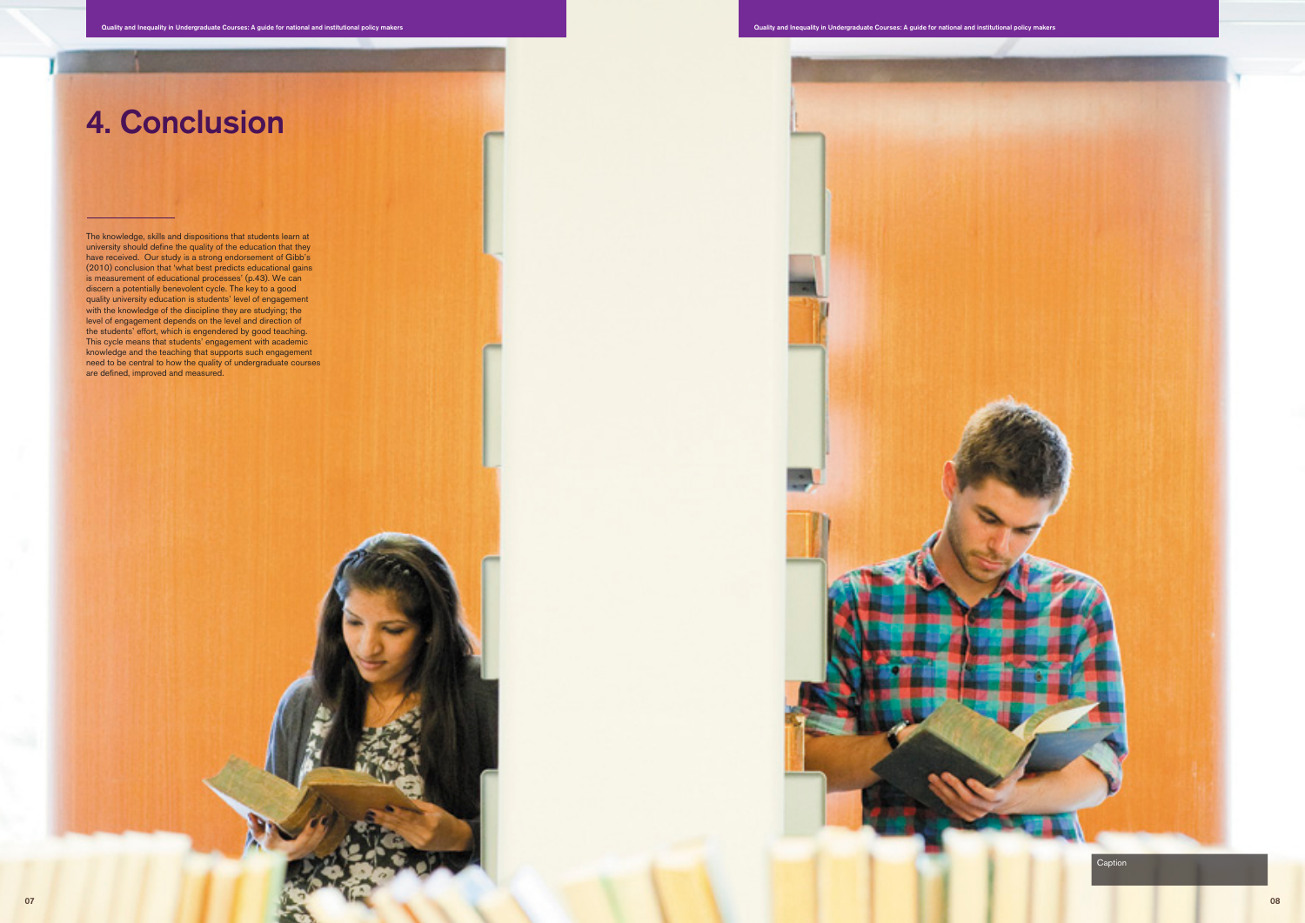

The knowledge, skills and dispositions that students learn at university should define the quality of the education that they have received. Our study is a strong endorsement of Gibb's (2010) conclusion that 'what best predicts educational gains is measurement of educational processes' (p.43). We can discern a potentially benevolent cycle. The key to a good quality university education is students' level of engagement with the knowledge of the discipline they are studying; the level of engagement depends on the level and direction of the students' effort, which is engendered by good teaching. This cycle means that students' engagement with academic knowledge and the teaching that supports such engagement need to be central to how the quality of undergraduate courses are defined, improved and measured.

# 4. Conclusion